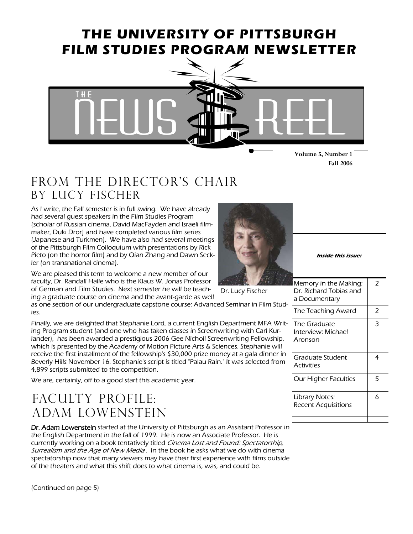## **THE UNIVERSITY OF PITTSBURGH FILM STUDIES PROGRAM NEWSLETTER**



**Volume 5, Number 1 Fall 2006** 

## FROM THE DIRECTOR'S CHAIR By Lucy fischer

As I write, the Fall semester is in full swing. We have already had several guest speakers in the Film Studies Program (scholar of Russian cinema, David MacFayden and Israeli filmmaker, Duki Dror) and have completed various film series (Japanese and Turkmen). We have also had several meetings of the Pittsburgh Film Colloquium with presentations by Rick Pieto (on the horror film) and by Qian Zhang and Dawn Seckler (on transnational cinema).

We are pleased this term to welcome a new member of our faculty, Dr. Randall Halle who is the Klaus W. Jonas Professor of German and Film Studies. Next semester he will be teach-

ing a graduate course on cinema and the avant-garde as well as one section of our undergraduate capstone course: Advanced Seminar in Film Studies.

Finally, we are delighted that Stephanie Lord, a current English Department MFA Writing Program student (and one who has taken classes in Screenwriting with Carl Kurlander), has been awarded a prestigious 2006 Gee Nicholl Screenwriting Fellowship, which is presented by the Academy of Motion Picture Arts & Sciences. Stephanie will receive the first installment of the fellowship's \$30,000 prize money at a gala dinner in Beverly Hills November 16. Stephanie's script is titled "Palau Rain." It was selected from 4,899 scripts submitted to the competition.

We are, certainly, off to a good start this academic year.

## FACULTY PROFILE: Adam Lowenstein

Dr. Adam Lowenstein started at the University of Pittsburgh as an Assistant Professor in the English Department in the fall of 1999. He is now an Associate Professor. He is currently working on a book tentatively titled Cinema Lost and Found: Spectatorship, Surrealism and the Age of New Media. In the book he asks what we do with cinema spectatorship now that many viewers may have their first experience with films outside of the theaters and what this shift does to what cinema is, was, and could be.



Dr. Lucy Fischer

**Inside this issue:** 

| Memory in the Making:<br>Dr. Richard Tobias and<br>a Documentary | 2 |
|------------------------------------------------------------------|---|
| The Teaching Award                                               | 2 |
| The Graduate<br>Interview: Michael<br>Aronson                    | 3 |
| Graduate Student<br><b>Activities</b>                            | 4 |
| Our Higher Faculties                                             | 5 |
| <b>Library Notes:</b><br><b>Recent Acquisitions</b>              | 6 |
|                                                                  |   |

(Continued on page 5)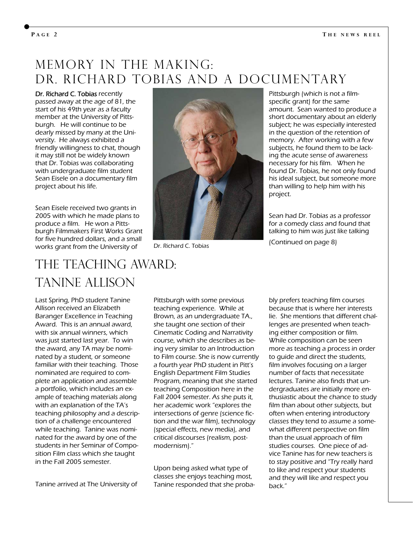## Memory In the making: dr. Richard tobias and a documentary

Dr. Richard C. Tobias recently passed away at the age of 81, the start of his 49th year as a faculty member at the University of Pittsburgh. He will continue to be dearly missed by many at the University. He always exhibited a friendly willingness to chat, though it may still not be widely known that Dr. Tobias was collaborating with undergraduate film student Sean Eisele on a documentary film project about his life.

Sean Eisele received two grants in 2005 with which he made plans to produce a film. He won a Pittsburgh Filmmakers First Works Grant for five hundred dollars, and a small works grant from the University of



Dr. Richard C. Tobias

Pittsburgh (which is not a filmspecific grant) for the same amount. Sean wanted to produce a short documentary about an elderly subject; he was especially interested in the question of the retention of memory. After working with a few subjects, he found them to be lacking the acute sense of awareness necessary for his film. When he found Dr. Tobias, he not only found his ideal subject, but someone more than willing to help him with his project.

Sean had Dr. Tobias as a professor for a comedy class and found that talking to him was just like talking

(Continued on page 8)

## The teaching Award: Tanine allison

Last Spring, PhD student Tanine Allison received an Elizabeth Baranger Excellence in Teaching Award. This is an annual award, with six annual winners, which was just started last year. To win the award, any TA may be nominated by a student, or someone familiar with their teaching. Those nominated are required to complete an application and assemble a portfolio, which includes an example of teaching materials along with an explanation of the TA's teaching philosophy and a description of a challenge encountered while teaching. Tanine was nominated for the award by one of the students in her Seminar of Composition Film class which she taught in the Fall 2005 semester.

Tanine arrived at The University of

Pittsburgh with some previous teaching experience. While at Brown, as an undergraduate TA., she taught one section of their Cinematic Coding and Narrativity course, which she describes as being very similar to an Introduction to Film course. She is now currently a fourth year PhD student in Pitt's English Department Film Studies Program, meaning that she started teaching Composition here in the Fall 2004 semester. As she puts it, her academic work "explores the intersections of genre (science fiction and the war film), technology (special effects, new media), and critical discourses (realism, postmodernism)."

Upon being asked what type of classes she enjoys teaching most, Tanine responded that she proba-

bly prefers teaching film courses because that is where her interests lie. She mentions that different challenges are presented when teaching either composition or film. While composition can be seen more as teaching a process in order to guide and direct the students, film involves focusing on a larger number of facts that necessitate lectures. Tanine also finds that undergraduates are initially more enthusiastic about the chance to study film than about other subjects, but often when entering introductory classes they tend to assume a somewhat different perspective on film than the usual approach of film studies courses. One piece of advice Tanine has for new teachers is to stay positive and "Try really hard to like and respect your students and they will like and respect you back."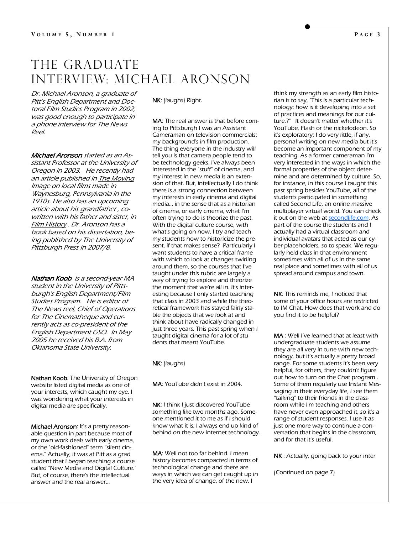### THE GRADUATE Interview: Michael Aronson

Dr. Michael Aronson, a graduate of Pitt's English Department and Doctoral Film Studies Program in 2002, was good enough to participate in a phone interview for The News Reel.

Michael Aronson started as an Assistant Professor at the University of Oregon in 2003. He recently had an article published in The Moving Image on local films made in Waynesburg, Pennsylvania in the 1910s. He also has an upcoming article about his grandfather , cowritten with his father and sister, in Film History . Dr. Aronson has a book based on his dissertation, being published by The University of Pittsburgh Press in 2007/8.

Nathan Koob is a second-year MA student in the University of Pittsburgh's English Department/Film Studies Program. He is editor of The News reel, Chief of Operations for The Cinematheque and currently acts as co-president of the English Department GSO. In May 2005 he received his B.A. from Oklahoma State University.

Nathan Koob: The University of Oregon website listed digital media as one of your interests, which caught my eye. I was wondering what your interests in digital media are specifically.

Michael Aronson: It's a pretty reasonable question in part because most of my own work deals with early cinema, or the "old-fashioned" term "silent cinema." Actually, it was at Pitt as a grad student that I began teaching a course called "New Media and Digital Culture." But, of course, there's the intellectual answer and the real answer...

NK: (laughs) Right.

MA: The real answer is that before coming to Pittsburgh I was an Assistant Cameraman on television commercials; my background's in film production. The thing everyone in the industry will tell you is that camera people tend to be technology geeks. I've always been interested in the "stuff" of cinema, and my interest in new media is an extension of that. But, intellectually I do think there is a strong connection between my interests in early cinema and digital media... in the sense that as a historian of cinema, or early cinema, what I'm often trying to do is theorize the past. With the digital culture course, with what's going on now, I try and teach my students how to historicize the present, if that makes sense? Particularly I want students to have a critical frame with which to look at changes swirling around them, so the courses that I've taught under this rubric are largely a way of trying to explore and theorize the moment that we're all in. It's interesting because I only started teaching that class in 2003 and while the theoretical framework has stayed fairly stable the objects that we look at and think about have radically changed in just three years. This past spring when I taught digital cinema for a lot of students that meant YouTube.

NK: (laughs)

MA: YouTube didn't exist in 2004.

NK: I think I just discovered YouTube something like two months ago. Someone mentioned it to me as if I should know what it is; I always end up kind of behind on the new internet technology.

MA: Well not too far behind. I mean history becomes compacted in terms of technological change and there are ways in which we can get caught up in the very idea of change, of the new. I

think my strength as an early film historian is to say, "This is a particular technology: how is it developing into a set of practices and meanings for our culture.?" It doesn't matter whether it's YouTube, Flash or the nickelodeon. So it's exploratory; I do very little, if any, personal writing on new media but it's become an important component of my teaching. As a former cameraman I'm very interested in the ways in which the formal properties of the object determine and are determined by culture. So, for instance, in this course I taught this past spring besides YouTube, all of the students participated in something called Second Life, an online massive multiplayer virtual world. You can check it out on the web at **[secondlife.com](https://exchange.pitt.edu/exchweb/bin/redir.asp?URL=http://secondlife.com)**. As part of the course the students and I actually had a virtual classroom and individual avatars that acted as our cyber-placeholders, so to speak. We regularly held class in that environment sometimes with all of us in the same real place and sometimes with all of us spread around campus and town.

NK: This reminds me, I noticed that some of your office hours are restricted to IM Chat. How does that work and do you find it to be helpful?

MA : Well I've learned that at least with undergraduate students we assume they are all very in tune with new technology, but it's actually a pretty broad range. For some students it's been very helpful, for others, they couldn't figure out how to turn on the Chat program . Some of them regularly use Instant Messaging in their everyday life, I see them "talking" to their friends in the classroom while I'm teaching and others have never even approached it, so it's a range of student responses. I use it as just one more way to continue a conversation that begins in the classroom, and for that it's useful.

NK : Actually, going back to your inter

(Continued on page 7)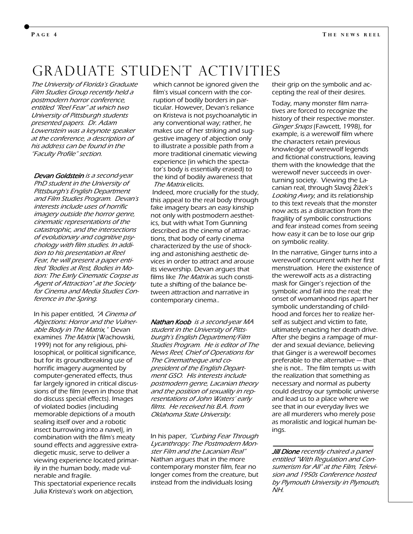## Graduate student Activities

The University of Florida's Graduate Film Studies Group recently held a postmodern horror conference, entitled "Reel Fear" at which two University of Pittsburgh students presented papers. Dr. Adam Lowenstein was a keynote speaker at the conference, a description of his address can be found in the "Faculty Profile" section.

Devan Goldstein is a second-year PhD student in the University of Pittsburgh's English Department and Film Studies Program. Devan's interests include uses of horrific imagery outside the horror genre, cinematic representations of the catastrophic, and the intersections of evolutionary and cognitive psychology with film studies. In addition to his presentation at Reel Fear, he will present a paper entitled "Bodies at Rest, Bodies in Motion: The Early Cinematic Corpse as Agent of Attraction" at the Society for Cinema and Media Studies Conference in the Spring.

In his paper entitled, "A Cinema of Abjections: Horror and the Vulnerable Body in The Matrix," Devan examines The Matrix (Wachowski, 1999) not for any religious, philosophical, or political significance, but for its groundbreaking use of horrific imagery augmented by computer-generated effects, thus far largely ignored in critical discussions of the film (even in those that do discuss special effects). Images of violated bodies (including memorable depictions of a mouth sealing itself over and a robotic insect burrowing into a navel), in combination with the film's meaty sound effects and aggressive extradiegetic music, serve to deliver a viewing experience located primarily in the human body, made vulnerable and fragile.

This spectatorial experience recalls Julia Kristeva's work on abjection,

which cannot be ignored given the film's visual concern with the corruption of bodily borders in particular. However, Devan's reliance on Kristeva is not psychoanalytic in any conventional way; rather, he makes use of her striking and suggestive imagery of abjection only to illustrate a possible path from a more traditional cinematic viewing experience (in which the spectator's body is essentially erased) to the kind of bodily awareness that The Matrix elicits.

 Indeed, more crucially for the study, this appeal to the real body through fake imagery bears an easy kinship not only with postmodern aesthetics, but with what Tom Gunning described as the cinema of attractions, that body of early cinema characterized by the use of shocking and astonishing aesthetic devices in order to attract and arouse its viewership. Devan argues that films like *The Matrix* as such constitute a shifting of the balance between attraction and narrative in contemporary cinema..

Nathan Koob is a second-year MA student in the University of Pittsburgh's English Department/Film Studies Program. He is editor of The News Reel, Chief of Operations for The Cinematheque and copresident of the English Department GSO. His interests include postmodern genre, Lacanian theory and the position of sexuality in representations of John Waters' early films. He received his B.A. from Oklahoma State University.

In his paper, "Curbing Fear Through Lycanthropy: The Postmodern Monster Film and the Lacanian Real" Nathan argues that in the more contemporary monster film, fear no longer comes from the creature, but instead from the individuals losing

their grip on the symbolic and accepting the real of their desires.

Today, many monster film narratives are forced to recognize the history of their respective monster. Ginger Snaps (Fawcett, 1998), for example, is a werewolf film where the characters retain previous knowledge of werewolf legends and fictional constructions, leaving them with the knowledge that the werewolf never succeeds in overturning society. Viewing the Lacanian real, through Slavoj Žižek's Looking Awry, and its relationship to this text reveals that the monster now acts as a distraction from the fragility of symbolic constructions and fear instead comes from seeing how easy it can be to lose our grip on symbolic reality.

In the narrative, Ginger turns into a werewolf concurrent with her first menstruation. Here the existence of the werewolf acts as a distracting mask for Ginger's rejection of the symbolic and fall into the real; the onset of womanhood rips apart her symbolic understanding of childhood and forces her to realize herself as subject and victim to fate, ultimately enacting her death drive. After she begins a rampage of murder and sexual deviance, believing that Ginger is a werewolf becomes preferable to the alternative — that she is not.. The film tempts us with the realization that something as necessary and normal as puberty could destroy our symbolic universe and lead us to a place where we see that in our everyday lives we are all murderers who merely pose as moralistic and logical human beings.

**Jill Dione** recently chaired a panel entitled "With Regulation and Consumerism for All" at the Film, Television and 1950s Conference hosted by Plymouth University in Plymouth, NH.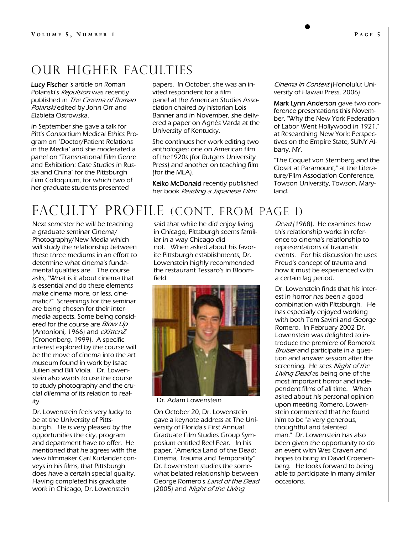## Our higher faculties

Lucy Fischer 's article on Roman Polanski's Repulsion was recently published in The Cinema of Roman Polanski edited by John Orr and Elzbieta Ostrowska.

In September she gave a talk for Pitt's Consortium Medical Ethics Program on "Doctor/Patient Relations in the Media" and she moderated a panel on "Transnational Film Genre and Exhibition: Case Studies in Russia and China" for the Pittsburgh Film Colloquium, for which two of her graduate students presented

papers. In October, she was an invited respondent for a film panel at the American Studies Association chaired by historian Lois Banner and in November, she delivered a paper on Agnès Varda at the University of Kentucky.

She continues her work editing two anthologies: one on American film of the1920s (for Rutgers University Press) and another on teaching film (for the MLA).

Keiko McDonald recently published her book Reading a Japanese Film:

Cinema in Context (Honolulu: University of Hawaii Press, 2006)

Mark Lynn Anderson gave two conference presentations this November. "Why the New York Federation of Labor Went Hollywood in 1921," at Researching New York: Perspectives on the Empire State, SUNY Albany, NY.

"The Coquet von Sternberg and the Closet at Paramount," at the Literature/Film Association Conference, Towson University, Towson, Maryland.

## FACULTY PROFILE (CONT. FROM PAGE 1)

Next semester he will be teaching a graduate seminar Cinema/ Photography/New Media which will study the relationship between these three mediums in an effort to determine what cinema's fundamental qualities are. The course asks, "What is it about cinema that is essential and do these elements make cinema more, or less, cinematic?" Screenings for the seminar are being chosen for their intermedia aspects. Some being considered for the course are *Blow Up* (Antonioni, 1966) and eXistenZ (Cronenberg, 1999). A specific interest explored by the course will be the move of cinema into the art museum found in work by Isaac Julien and Bill Viola. Dr. Lowenstein also wants to use the course to study photography and the crucial dilemma of its relation to reality.

Dr. Lowenstein feels very lucky to be at the University of Pittsburgh. He is very pleased by the opportunities the city, program and department have to offer. He mentioned that he agrees with the view filmmaker Carl Kurlander conveys in his films, that Pittsburgh does have a certain special quality. Having completed his graduate work in Chicago, Dr. Lowenstein

said that while he did enjoy living in Chicago, Pittsburgh seems familiar in a way Chicago did not. When asked about his favorite Pittsburgh establishments, Dr. Lowenstein highly recommended the restaurant Tessaro's in Bloomfield.



Dr. Adam Lowenstein

On October 20, Dr. Lowenstein gave a keynote address at The University of Florida's First Annual Graduate Film Studies Group Symposium entitled Reel Fear. In his paper, "America Land of the Dead: Cinema, Trauma and Temporality" Dr. Lowenstein studies the somewhat belated relationship between George Romero's Land of the Dead (2005) and Night of the Living

Dead (1968). He examines how this relationship works in reference to cinema's relationship to representations of traumatic events. For his discussion he uses Freud's concept of trauma and how it must be experienced with a certain lag period.

Dr. Lowenstein finds that his interest in horror has been a good combination with Pittsburgh. He has especially enjoyed working with both Tom Savini and George Romero. In February 2002 Dr. Lowenstein was delighted to introduce the premiere of Romero's Bruiser and participate in a question and answer session after the screening. He sees Night of the Living Dead as being one of the most important horror and independent films of all time. When asked about his personal opinion upon meeting Romero, Lowenstein commented that he found him to be "a very generous, thoughtful and talented man." Dr. Lowenstein has also been given the opportunity to do an event with Wes Craven and hopes to bring in David Croenenberg. He looks forward to being able to participate in many similar occasions.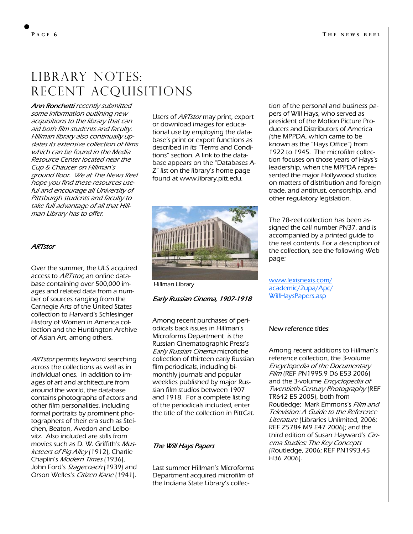## LIBRARY NOTES: Recent acquisitions

Ann Ronchetti recently submitted some information outlining new acquisitions to the library that can aid both film students and faculty. Hillman library also continually updates its extensive collection of films which can be found in the Media Resource Center located near the Cup & Chaucer on Hillman's ground floor. We at The News Reel hope you find these resources useful and encourage all University of Pittsburgh students and faculty to take full advantage of all that Hillman Library has to offer.

#### **ARTstor**

Over the summer, the ULS acquired access to ARTstor, an online database containing over 500,000 images and related data from a number of sources ranging from the Carnegie Arts of the United States collection to Harvard's Schlesinger History of Women in America collection and the Huntington Archive of Asian Art, among others.

ARTstor permits keyword searching across the collections as well as in individual ones. In addition to images of art and architecture from around the world, the database contains photographs of actors and other film personalities, including formal portraits by prominent photographers of their era such as Steichen, Beaton, Avedon and Leibovitz. Also included are stills from movies such as D. W. Griffith's Musketeers of Pig Alley (1912), Charlie Chaplin's Modern Times (1936), John Ford's Stagecoach (1939) and Orson Welles's Citizen Kane (1941).

Users of ARTstor may print, export or download images for educational use by employing the database's print or export functions as described in its "Terms and Conditions" section. A link to the database appears on the "Databases A-Z" list on the library's home page found at www.library.pitt.edu.



Hillman Library

#### Early Russian Cinema, 1907-1918

Among recent purchases of periodicals back issues in Hillman's Microforms Department is the Russian Cinematographic Press's Early Russian Cinema microfiche collection of thirteen early Russian film periodicals, including bimonthly journals and popular weeklies published by major Russian film studios between 1907 and 1918. For a complete listing of the periodicals included, enter the title of the collection in PittCat.

#### The Will Hays Papers

Last summer Hillman's Microforms Department acquired microfilm of the Indiana State Library's collection of the personal and business papers of Will Hays, who served as president of the Motion Picture Producers and Distributors of America (the MPPDA, which came to be known as the "Hays Office") from 1922 to 1945. The microfilm collection focuses on those years of Hays's leadership, when the MPPDA represented the major Hollywood studios on matters of distribution and foreign trade, and antitrust, censorship, and other regulatory legislation.

The 78-reel collection has been assigned the call number PN37, and is accompanied by a printed guide to the reel contents. For a description of the collection, see the following Web page:

[www.lexisnexis.com/](http://www.lexisnexis.com/academic/2upa/Apc/WillHaysPapers.asp) [academic/2upa/Apc/](http://www.lexisnexis.com/academic/2upa/Apc/WillHaysPapers.asp) [WillHaysPapers.asp](http://www.lexisnexis.com/academic/2upa/Apc/WillHaysPapers.asp)

#### New reference titles

Among recent additions to Hillman's reference collection, the 3-volume Encyclopedia of the Documentary Film (REF PN1995.9 D6 E53 2006) and the 3-volume Encyclopedia of Twentieth-Century Photography (REF TR642 E5 2005), both from Routledge; Mark Emmons's Film and Television: A Guide to the Reference Literature (Libraries Unlimited, 2006; REF Z5784 M9 E47 2006); and the third edition of Susan Hayward's Cinema Studies: The Key Concepts (Routledge, 2006; REF PN1993.45 H36 2006).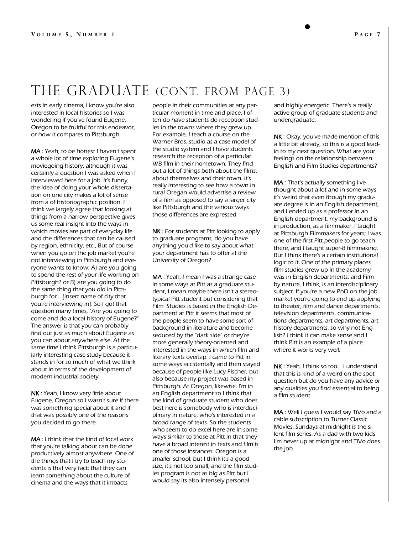# THE GRADUATE (CONT. FROM PAGE 3)

ests in early cinema, I know you're also interested in local histories so I was wondering if you've found Eugene, Oregon to be fruitful for this endeavor, or how it compares to Pittsburgh.

MA : Yeah, to be honest I haven't spent a whole lot of time exploring Eugene's moviegoing history, although it was certainly a question I was asked when I interviewed here for a job. It's funny, the idea of doing your whole dissertation on one city makes a lot of sense from a of historiographic position. I think we largely agree that looking at things from a narrow perspective gives us some real insight into the ways in which movies are part of everyday life and the differences that can be caused by region, ethnicity, etc., But of course when you go on the job market you're not interviewing in Pittsburgh and everyone wants to know: A) are you going to spend the rest of your life working on Pittsburgh? or B) are you going to do the same thing that you did in Pittsburgh for... [insert name of city that you're interviewing in]. So I got that question many times, "Are you going to come and do a local history of Eugene?" The answer is that you can probably find out just as much about Eugene as you can about anywhere else. At the same time I think Pittsburgh is a particularly interesting case study because it stands in for so much of what we think about in terms of the development of modern industrial society.

NK : Yeah, I know very little about Eugene, Oregon so I wasn't sure if there was something special about it and if that was possibly one of the reasons you decided to go there.

MA : I think that the kind of local work that you're talking about can be done productively almost anywhere. One of the things that I try to teach my students is that very fact: that they can learn something about the culture of cinema and the ways that it impacts

people in their communities at any particular moment in time and place. I often do have students do reception studies in the towns where they grew up. For example, I teach a course on the Warner Bros. studio as a case model of the studio system and I have students research the reception of a particular WB film in their hometown. They find out a lot of things both about the films, about themselves and their town. It's really interesting to see how a town in rural Oregan would advertise a review of a film as opposed to say a larger city like Pittsburgh and the various ways those differences are expressed.

NK : For students at Pitt looking to apply to graduate programs, do you have anything you'd like to say about what your department has to offer at the University of Oregon?

MA : Yeah, I mean I was a strange case in some ways at Pitt as a graduate student, I mean maybe there isn't a stereotypical Pitt student but considering that Film Studies is based in the English Department at Pitt it seems that most of the people seem to have some sort of background in literature and become seduced by the "dark side" or they're more generally theory-oriented and interested in the ways in which film and literary texts overlap. I came to Pitt in some ways accidentally and then stayed because of people like Lucy Fischer, but also because my project was based in Pittsburgh. At Oregon, likewise, I'm in an English department so I think that the kind of graduate student who does best here is somebody who is interdisciplinary in nature, who's interested in a broad range of texts. So the students who seem to do excel here are in some ways similar to those at Pitt in that they have a broad interest in texts and film is one of those instances. Oregon is a smaller school, but I think it's a good size; it's not too small, and the film studies program is not as big as Pitt but I would say its also intensely personal

and highly energetic. There's a really active group of graduate students and undergraduate.

NK : Okay, you've made mention of this a little bit already, so this is a good leadin to my next question. What are your feelings on the relationship between English and Film Studies departments?

MA : That's actually something I've thought about a lot and in some ways it's weird that even though my graduate degree is in an English department, and I ended up as a professor in an English department, my background is in production, as a filmmaker. I taught at Pittsburgh Filmmakers for years; I was one of the first Pitt people to go teach there, and I taught super-8 filmmaking. But I think there's a certain institutional logic to it. One of the primary places film studies grew up in the academy was in English departments, and Film by nature, I think, is an interdisciplinary subject. If you're a new PhD on the job market you're going to end up applying to theater, film and dance departments, television departments, communications departments, art departments, art history departments, so why not English? I think it can make sense and I think Pitt is an example of a place where it works very well.

NK : Yeah, I think so too. I understand that this is kind of a weird on-the-spot question but do you have any advice or any qualities you find essential to being a film student.

MA : Well I guess I would say TiVo and a cable subscription to Turner Classic Movies. Sundays at midnight is the silent film series. As a dad with two kids I'm never up at midnight and TiVo does the job.